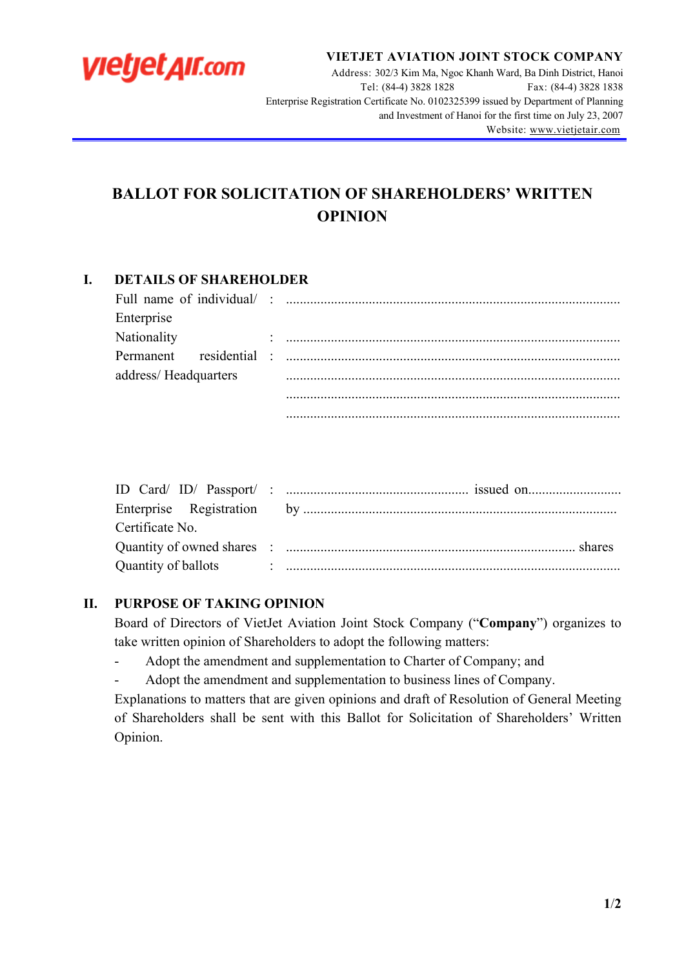

**VIETJET AVIATION JOINT STOCK COMPANY**

Address: 302/3 Kim Ma, Ngoc Khanh Ward, Ba Dinh District, Hanoi Tel: (84-4) 3828 1828 Fax: (84-4) 3828 1838 Enterprise Registration Certificate No. 0102325399 issued by Department of Planning and Investment of Hanoi for the first time on July 23, 2007 Website: www.vietjetair.com

# **BALLOT FOR SOLICITATION OF SHAREHOLDERS' WRITTEN OPINION**

# **I. DETAILS OF SHAREHOLDER**

| Enterprise           |  |
|----------------------|--|
| Nationality          |  |
|                      |  |
| address/Headquarters |  |
|                      |  |
|                      |  |

| Certificate No. |  |
|-----------------|--|
|                 |  |
|                 |  |

#### **II. PURPOSE OF TAKING OPINION**

Board of Directors of VietJet Aviation Joint Stock Company ("**Company**") organizes to take written opinion of Shareholders to adopt the following matters:

- Adopt the amendment and supplementation to Charter of Company; and
- Adopt the amendment and supplementation to business lines of Company.

Explanations to matters that are given opinions and draft of Resolution of General Meeting of Shareholders shall be sent with this Ballot for Solicitation of Shareholders' Written Opinion.